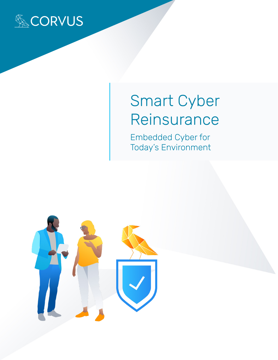

# Smart Cyber Reinsurance

Embedded Cyber for Today's Environment

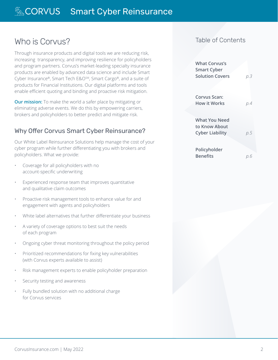# Who is Corvus?

Through insurance products and digital tools we are reducing risk, increasing transparency, and improving resilience for policyholders and program partners. Corvus's market-leading specialty insurance products are enabled by advanced data science and include Smart Cyber Insurance®, Smart Tech E&O<sup>SM</sup>, Smart Cargo®, and a suite of products for Financial Institutions. Our digital platforms and tools enable efficient quoting and binding and proactive risk mitigation.

**Our mission:** To make the world a safer place by mitigating or eliminating adverse events. We do this by empowering carriers, brokers and policyholders to better predict and mitigate risk.

## Why Offer Corvus Smart Cyber Reinsurance?

Our White Label Reinsurance Solutions help manage the cost of your cyber program while further differentiating you with brokers and policyholders. What we provide:

- Coverage for all policyholders with no account-specific underwriting
- Experienced response team that improves quantitative and qualitative claim outcomes
- Proactive risk management tools to enhance value for and engagement with agents and policyholders
- White label alternatives that further differentiate your business
- A variety of coverage options to best suit the needs of each program
- Ongoing cyber threat monitoring throughout the policy period
- Prioritized recommendations for fixing key vulnerabilities (with Corvus experts available to assist)
- Risk management experts to enable policyholder preparation
- Security testing and awareness
- Fully bundled solution with no additional charge for Corvus services

## Table of Contents

| <b>What Corvus's</b><br><b>Smart Cyber</b><br><b>Solution Covers</b> | р.З |
|----------------------------------------------------------------------|-----|
| Corvus Scan:<br><b>How it Works</b>                                  | р.4 |
| What You Need<br>to Know About<br><b>Cyber Liability</b>             | p.5 |
| Policyholder<br><b>Benefits</b>                                      |     |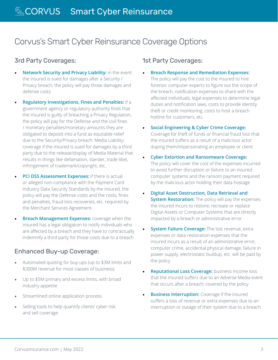# Corvus's Smart Cyber Reinsurance Coverage Options

## 3rd Party Coverages:

- **Network Security and Privacy Liability:** in the event the insured is sued for damages after a Security / Privacy breach, the policy will pay those damages and defense costs
- **Regulatory Investigations, Fines and Penalties:** if a government agency or regulatory authority finds that the insured is guilty of breaching a Privacy Regulation, the policy will pay for the Defense and the civil fines / monetary penalties/monetary amounts they are obligated to deposit into a fund as equitable relief due to the Security/Privacy breach. Media Liability: coverage if the insured is sued for damages by a third party due to the release/display of Media Material that results in things like defamation, slander, trade libel, infringement of trademark/copyright, etc.
	- **PCI DSS Assessment Expenses:** if there is actual or alleged non-compliance with the Payment Card Industry Data Security Standards by the insured, the policy will pay the Defense costs and the costs, fines and penalties, fraud loss recoveries, etc. required by the Merchant Services Agreement.
- **Breach Management Expenses:** coverage when the insured has a legal obligation to notify individuals who are affected by a breach and they have to contractually indemnify a third party for those costs due to a breach

## Enhanced Buy-up Coverage:

- Automated quoting for buy-ups (up to \$3M limits and \$300M revenue for most classes of business)
- Up to \$5M primary and excess limits, with broad industry appetite
- Streamlined online application process
- Selling tools to help quantify clients' cyber risk and sell coverage

### 1st Party Coverages:

- **Breach Response and Remediation Expenses:** The policy will pay the cost to the insured to hire forensic computer experts to figure out the scope of the breach, notification expenses to share with the affected individuals, legal expenses to determine legal duties and notification laws, costs to provide identity theft or credit monitoring, costs to host a breach hotline for customers, etc.
- **Social Engineering & Cyber Crime Coverage:** Coverage for theft of funds or financial fraud loss that the insured suffers as a result of a malicious actor duping them/impersonating an employee or client
- **Cyber Extortion and Ransomware Coverage:** The policy will cover the cost of the expenses incurred to avoid further disruption or failure to an insured computer systems and the ransom payment required by the malicious actor holding their data hostage
- **Digital Asset Destruction, Data Retrieval and System Restoration:** The policy will pay the expenses the insured incurs to restore, recreate or replace Digital Assets or Computer Systems that are directly impacted by a breach or administrative error
- **System Failure Coverage: The lost revenue, extra** expenses or data restoration expenses that the insured incurs as a result of an administrative error, computer crime, accidental physical damage, failure in power supply, electrostatic buildup, etc. will be paid by the policy
- **Reputational Loss Coverage:** business income loss that the insured suffers due to an Adverse Media event that occurs after a breach; covered by the policy
- **Business Interruption:** Coverage if the insured suffers a loss of revenue or extra expenses due to an interruption or outage of their system due to a breach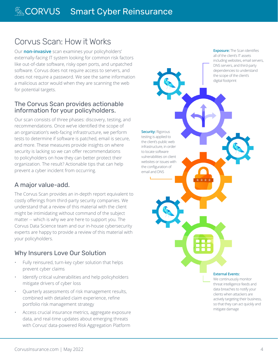# Corvus Scan: How it Works

Our **non-invasive** scan examines your policyholders' externally-facing IT system looking for common risk factors like out-of-date software, risky open ports, and unpatched software. Corvus does not require access to servers, and does not require a password. We see the same information a malicious actor would when they are scanning the web for potential targets.

#### The Corvus Scan provides actionable information for your policyholders.

Our scan consists of three phases: discovery, testing, and recommendations. Once we've identified the scope of an organization's web-facing infrastructure, we perform tests to determine if software is patched, email is secure, and more. These measures provide insights on where security is lacking so we can offer recommendations to policyholders on how they can better protect their organization. The result? Actionable tips that can help prevent a cyber incident from occurring.

## A major value-add.

The Corvus Scan provides an in-depth report equivalent to costly offerings from third-party security companies. We understand that a review of this material with the client might be intimidating without command of the subject matter -- which is why we are here to support you. The Corvus Data Science team and our in-house cybersecurity experts are happy to provide a review of this material with your policyholders.

## Why Insurers Love Our Solution

- Fully reinsured, turn-key cyber solution that helps prevent cyber claims
- Identify critical vulnerabilities and help policyholders mitigate drivers of cyber loss
- Quarterly assessments of risk management results, combined with detailed claim experience, refine portfolio risk management strategy
- Access crucial insurance metrics, aggregate exposure data, and real-time updates about emerging threats with Corvus' data-powered Risk Aggregation Platform

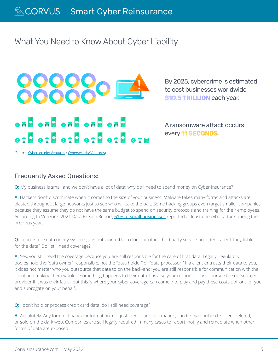# What You Need to Know About Cyber Liability



By 2025, cybercrime is estimated to cost businesses worldwide **\$10.5 TRILLION** each year.

A ransomware attack occurs every **11 SECONDS**.

(Source: [Cybersecurity Ventures](https://1c7fab3im83f5gqiow2qqs2k-wpengine.netdna-ssl.com/wp-content/uploads/2021/01/Cyberwarfare-2021-Report.pdf) / [Cybersecurity Ventures\)](https://cybersecurityventures.com/global-ransomware-damage-costs-predicted-to-reach-20-billion-usd-by-2021/)

#### Frequently Asked Questions:

**Q:** My business is small and we don't have a lot of data; why do I need to spend money on Cyber Insurance?

**A:** Hackers don't discriminate when it comes to the size of your business. Malware takes many forms and attacks are blasted throughout large networks just to see who will take the bait. Some hacking groups even target smaller companies because they assume they do not have the same budget to spend on security protocols and training for their employees. According to Verizon's 2021 Data Breach Report, [61% of small businesses](https://www.verizon.com/business/resources/reports/dbir/) reported at least one cyber attack during the previous year.

**Q:** I don't store data on my systems, it is outsourced to a cloud or other third party service provider – aren't they liable for the data? Do I still need coverage?

**A:** Yes, you still need the coverage because you are still responsible for the care of that data. Legally, regulatory bodies hold the "data owner" responsible, not the "data holder" or "data processor." If a client entrusts their data to you, it does not matter who you outsource that data to on the back-end; you are still responsible for communication with the client and making them whole if something happens to their data. It is also your responsibility to pursue the outsourced provider if it was their fault - but this is where your cyber coverage can come into play and pay these costs upfront for you and subrogate on your behalf.

**Q:** I don't hold or process credit card data; do I still need coverage?

**A:** Absolutely. Any form of financial information, not just credit card information, can be manipulated, stolen, deleted, or sold on the dark web. Companies are still legally required in many cases to report, notify and remediate when other forms of data are exposed.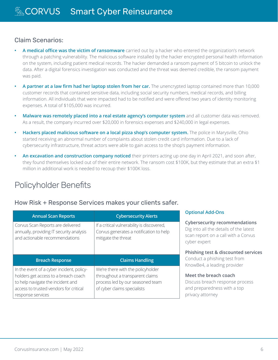#### Claim Scenarios:

- **• A medical office was the victim of ransomware** carried out by a hacker who entered the organization's network through a patching vulnerability. The malicious software installed by the hacker encrypted personal health information on the system, including patient medical records. The hacker demanded a ransom payment of 5 bitcoin to unlock the data. After a digital forensics investigation was conducted and the threat was deemed credible, the ransom payment was paid.
- **• A partner at a law firm had her laptop stolen from her car.** The unencrypted laptop contained more than 10,000 customer records that contained sensitive data, including social security numbers, medical records, and billing information. All individuals that were impacted had to be notified and were offered two years of identity monitoring expenses. A total of \$105,000 was incurred.
- **• Malware was remotely placed into a real estate agency's computer system** and all customer data was removed. As a result, the company incurred over \$20,000 in forensics expenses and \$240,000 in legal expenses.
- **• Hackers placed malicious software on a local pizza shop's computer system.** The police in Marysville, Ohio started receiving an abnormal number of complaints about stolen credit card information. Due to a lack of cybersecurity infrastructure, threat actors were able to gain access to the shop's payment information.
- **• An excavation and construction company noticed** their printers acting up one day in April 2021, and soon after, they found themselves locked out of their entire network. The ransom cost \$100K, but they estimate that an extra \$1 million in additional work is needed to recoup their \$100K loss.

# Policyholder Benefits

#### How Risk + Response Services makes your clients safer.

| <b>Annual Scan Reports</b>                                                                                      | <b>Cybersecurity Alerts</b>                                                                                  | <b>Optional Add-Ons</b>                                                                                                               |
|-----------------------------------------------------------------------------------------------------------------|--------------------------------------------------------------------------------------------------------------|---------------------------------------------------------------------------------------------------------------------------------------|
| Corvus Scan Reports are delivered<br>annually, providing IT security analysis<br>and actionable recommendations | If a critical vulnerability is discovered,<br>Corvus generates a notification to help<br>mitigate the threat | <b>Cybersecurity recommendations</b><br>Dig into all the details of the latest<br>scan report on a call with a Corvus<br>cyber expert |
|                                                                                                                 |                                                                                                              | Phishing test & discounted services                                                                                                   |
|                                                                                                                 |                                                                                                              |                                                                                                                                       |
| <b>Breach Response</b>                                                                                          | <b>Claims Handling</b>                                                                                       | Conduct a phishing test from                                                                                                          |
| In the event of a cyber incident, policy-                                                                       | We're there with the policyholder                                                                            | KnowBe4, a leading provider                                                                                                           |
| holders get access to a breach coach                                                                            | throughout a transparent claims                                                                              | Meet the breach coach                                                                                                                 |
| to help navigate the incident and                                                                               | process led by our seasoned team                                                                             | Discuss breach response process                                                                                                       |
| access to trusted vendors for critical<br>response services                                                     | of cyber claims specialists                                                                                  | and preparedness with a top<br>privacy attorney                                                                                       |